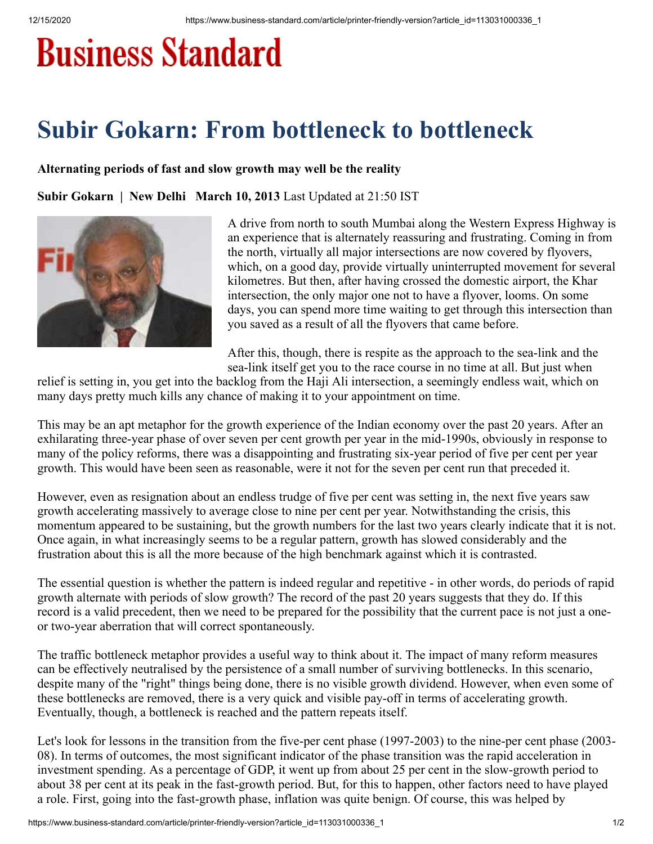## **Business Standard**

## **Subir Gokarn: From bottleneck to bottleneck**

## **Alternating periods of fast and slow growth may well be the reality**

**Subir Gokarn | New Delhi March 10, 2013** Last Updated at 21:50 IST



A drive from north to south Mumbai along the Western Express Highway is an experience that is alternately reassuring and frustrating. Coming in from the north, virtually all major intersections are now covered by flyovers, which, on a good day, provide virtually uninterrupted movement for several kilometres. But then, after having crossed the domestic airport, the Khar intersection, the only major one not to have a flyover, looms. On some days, you can spend more time waiting to get through this intersection than you saved as a result of all the flyovers that came before.

After this, though, there is respite as the approach to the sea-link and the

sea-link itself get you to the race course in no time at all. But just when relief is setting in, you get into the backlog from the Haji Ali intersection, a seemingly endless wait, which on many days pretty much kills any chance of making it to your appointment on time.

This may be an apt metaphor for the growth experience of the Indian economy over the past 20 years. After an exhilarating three-year phase of over seven per cent growth per year in the mid-1990s, obviously in response to many of the policy reforms, there was a disappointing and frustrating six-year period of five per cent per year growth. This would have been seen as reasonable, were it not for the seven per cent run that preceded it.

However, even as resignation about an endless trudge of five per cent was setting in, the next five years saw growth accelerating massively to average close to nine per cent per year. Notwithstanding the crisis, this momentum appeared to be sustaining, but the growth numbers for the last two years clearly indicate that it is not. Once again, in what increasingly seems to be a regular pattern, growth has slowed considerably and the frustration about this is all the more because of the high benchmark against which it is contrasted.

The essential question is whether the pattern is indeed regular and repetitive - in other words, do periods of rapid growth alternate with periods of slow growth? The record of the past 20 years suggests that they do. If this record is a valid precedent, then we need to be prepared for the possibility that the current pace is not just a oneor two-year aberration that will correct spontaneously.

The traffic bottleneck metaphor provides a useful way to think about it. The impact of many reform measures can be effectively neutralised by the persistence of a small number of surviving bottlenecks. In this scenario, despite many of the "right" things being done, there is no visible growth dividend. However, when even some of these bottlenecks are removed, there is a very quick and visible pay-off in terms of accelerating growth. Eventually, though, a bottleneck is reached and the pattern repeats itself.

Let's look for lessons in the transition from the five-per cent phase (1997-2003) to the nine-per cent phase (2003-08). In terms of outcomes, the most significant indicator of the phase transition was the rapid acceleration in investment spending. As a percentage of GDP, it went up from about 25 per cent in the slow-growth period to about 38 per cent at its peak in the fast-growth period. But, for this to happen, other factors need to have played a role. First, going into the fast-growth phase, inflation was quite benign. Of course, this was helped by